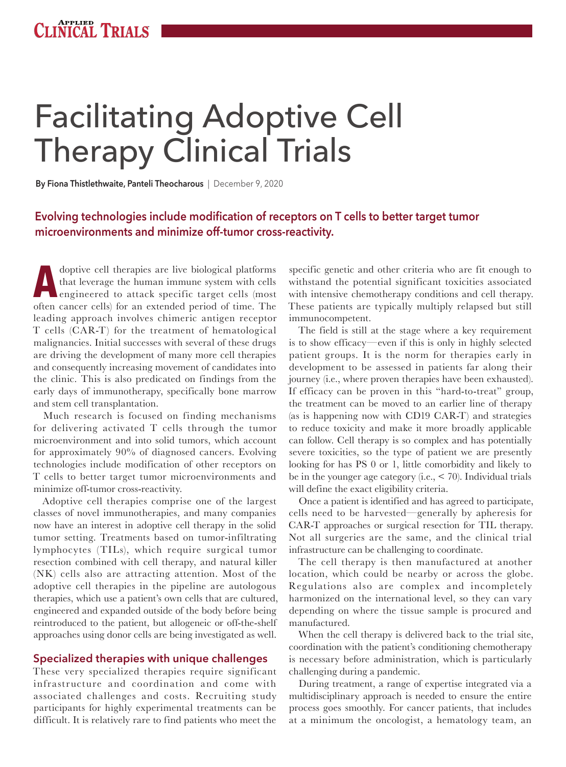# Facilitating Adoptive Cell Therapy Clinical Trials

**By Fiona Thistlethwaite, Panteli Theocharous** | December 9, 2020

### **Evolving technologies include modification of receptors on T cells to better target tumor microenvironments and minimize off-tumor cross-reactivity.**

**ADOPTIVE CELL** therapies are live biological platforms<br>
that leverage the human immune system with cells<br>
engineered to attack specific target cells (most<br>
often cancer cells) for an extended poriod of time. The that leverage the human immune system with cells often cancer cells) for an extended period of time. The leading approach involves chimeric antigen receptor T cells (CAR-T) for the treatment of hematological malignancies. Initial successes with several of these drugs are driving the development of many more cell therapies and consequently increasing movement of candidates into the clinic. This is also predicated on findings from the early days of immunotherapy, specifically bone marrow and stem cell transplantation.

Much research is focused on finding mechanisms for delivering activated T cells through the tumor microenvironment and into solid tumors, which account for approximately 90% of diagnosed cancers. Evolving technologies include modification of other receptors on T cells to better target tumor microenvironments and minimize off-tumor cross-reactivity.

Adoptive cell therapies comprise one of the largest classes of novel immunotherapies, and many companies now have an interest in adoptive cell therapy in the solid tumor setting. Treatments based on tumor-infiltrating lymphocytes (TILs), which require surgical tumor resection combined with cell therapy, and natural killer (NK) cells also are attracting attention. Most of the adoptive cell therapies in the pipeline are autologous therapies, which use a patient's own cells that are cultured, engineered and expanded outside of the body before being reintroduced to the patient, but allogeneic or off-the-shelf approaches using donor cells are being investigated as well.

#### **Specialized therapies with unique challenges**

These very specialized therapies require significant infrastructure and coordination and come with associated challenges and costs. Recruiting study participants for highly experimental treatments can be difficult. It is relatively rare to find patients who meet the

specific genetic and other criteria who are fit enough to withstand the potential significant toxicities associated with intensive chemotherapy conditions and cell therapy. These patients are typically multiply relapsed but still immunocompetent.

The field is still at the stage where a key requirement is to show efficacy—even if this is only in highly selected patient groups. It is the norm for therapies early in development to be assessed in patients far along their journey (i.e., where proven therapies have been exhausted). If efficacy can be proven in this "hard-to-treat" group, the treatment can be moved to an earlier line of therapy (as is happening now with CD19 CAR-T) and strategies to reduce toxicity and make it more broadly applicable can follow. Cell therapy is so complex and has potentially severe toxicities, so the type of patient we are presently looking for has PS 0 or 1, little comorbidity and likely to be in the younger age category (i.e., < 70). Individual trials will define the exact eligibility criteria.

Once a patient is identified and has agreed to participate, cells need to be harvested—generally by apheresis for CAR-T approaches or surgical resection for TIL therapy. Not all surgeries are the same, and the clinical trial infrastructure can be challenging to coordinate.

The cell therapy is then manufactured at another location, which could be nearby or across the globe. Regulations also are complex and incompletely harmonized on the international level, so they can vary depending on where the tissue sample is procured and manufactured.

When the cell therapy is delivered back to the trial site, coordination with the patient's conditioning chemotherapy is necessary before administration, which is particularly challenging during a pandemic.

During treatment, a range of expertise integrated via a multidisciplinary approach is needed to ensure the entire process goes smoothly. For cancer patients, that includes at a minimum the oncologist, a hematology team, an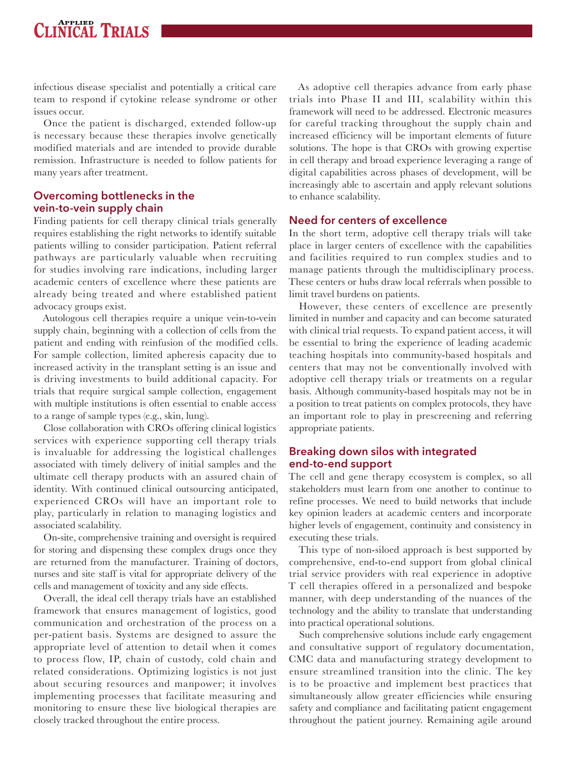### **INICAL TRIALS**

infectious disease specialist and potentially a critical care team to respond if cytokine release syndrome or other issues occur.

Once the patient is discharged, extended follow-up is necessary because these therapies involve genetically modified materials and are intended to provide durable remission. Infrastructure is needed to follow patients for many years after treatment.

#### **Overcoming bottlenecks in the vein-to-vein supply chain**

Finding patients for cell therapy clinical trials generally requires establishing the right networks to identify suitable patients willing to consider participation. Patient referral pathways are particularly valuable when recruiting for studies involving rare indications, including larger academic centers of excellence where these patients are already being treated and where established patient advocacy groups exist.

Autologous cell therapies require a unique vein-to-vein supply chain, beginning with a collection of cells from the patient and ending with reinfusion of the modified cells. For sample collection, limited apheresis capacity due to increased activity in the transplant setting is an issue and is driving investments to build additional capacity. For trials that require surgical sample collection, engagement with multiple institutions is often essential to enable access to a range of sample types (e.g., skin, lung).

Close collaboration with CROs offering clinical logistics services with experience supporting cell therapy trials is invaluable for addressing the logistical challenges associated with timely delivery of initial samples and the ultimate cell therapy products with an assured chain of identity. With continued clinical outsourcing anticipated, experienced CROs will have an important role to play, particularly in relation to managing logistics and associated scalability.

On-site, comprehensive training and oversight is required for storing and dispensing these complex drugs once they are returned from the manufacturer. Training of doctors, nurses and site staff is vital for appropriate delivery of the cells and management of toxicity and any side effects.

Overall, the ideal cell therapy trials have an established framework that ensures management of logistics, good communication and orchestration of the process on a per-patient basis. Systems are designed to assure the appropriate level of attention to detail when it comes to process flow, IP, chain of custody, cold chain and related considerations. Optimizing logistics is not just about securing resources and manpower; it involves implementing processes that facilitate measuring and monitoring to ensure these live biological therapies are closely tracked throughout the entire process.

As adoptive cell therapies advance from early phase trials into Phase II and III, scalability within this framework will need to be addressed. Electronic measures for careful tracking throughout the supply chain and increased efficiency will be important elements of future solutions. The hope is that CROs with growing expertise in cell therapy and broad experience leveraging a range of digital capabilities across phases of development, will be increasingly able to ascertain and apply relevant solutions to enhance scalability.

#### **Need for centers of excellence**

In the short term, adoptive cell therapy trials will take place in larger centers of excellence with the capabilities and facilities required to run complex studies and to manage patients through the multidisciplinary process. These centers or hubs draw local referrals when possible to limit travel burdens on patients.

However, these centers of excellence are presently limited in number and capacity and can become saturated with clinical trial requests. To expand patient access, it will be essential to bring the experience of leading academic teaching hospitals into community-based hospitals and centers that may not be conventionally involved with adoptive cell therapy trials or treatments on a regular basis. Although community-based hospitals may not be in a position to treat patients on complex protocols, they have an important role to play in prescreening and referring appropriate patients.

### **Breaking down silos with integrated end-to-end support**

The cell and gene therapy ecosystem is complex, so all stakeholders must learn from one another to continue to refine processes. We need to build networks that include key opinion leaders at academic centers and incorporate higher levels of engagement, continuity and consistency in executing these trials.

This type of non-siloed approach is best supported by comprehensive, end-to-end support from global clinical trial service providers with real experience in adoptive T cell therapies offered in a personalized and bespoke manner, with deep understanding of the nuances of the technology and the ability to translate that understanding into practical operational solutions.

Such comprehensive solutions include early engagement and consultative support of regulatory documentation, CMC data and manufacturing strategy development to ensure streamlined transition into the clinic. The key is to be proactive and implement best practices that simultaneously allow greater efficiencies while ensuring safety and compliance and facilitating patient engagement throughout the patient journey. Remaining agile around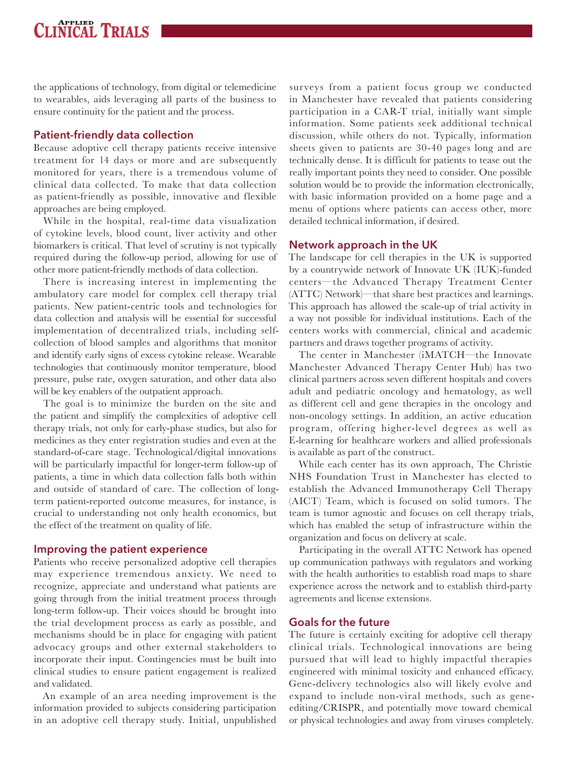### **APPLIED TRIALS**

the applications of technology, from digital or telemedicine to wearables, aids leveraging all parts of the business to ensure continuity for the patient and the process.

### **Patient-friendly data collection**

Because adoptive cell therapy patients receive intensive treatment for 14 days or more and are subsequently monitored for years, there is a tremendous volume of clinical data collected. To make that data collection as patient-friendly as possible, innovative and flexible approaches are being employed.

While in the hospital, real-time data visualization of cytokine levels, blood count, liver activity and other biomarkers is critical. That level of scrutiny is not typically required during the follow-up period, allowing for use of other more patient-friendly methods of data collection.

There is increasing interest in implementing the ambulatory care model for complex cell therapy trial patients. New patient-centric tools and technologies for data collection and analysis will be essential for successful implementation of decentralized trials, including selfcollection of blood samples and algorithms that monitor and identify early signs of excess cytokine release. Wearable technologies that continuously monitor temperature, blood pressure, pulse rate, oxygen saturation, and other data also will be key enablers of the outpatient approach.

The goal is to minimize the burden on the site and the patient and simplify the complexities of adoptive cell therapy trials, not only for early-phase studies, but also for medicines as they enter registration studies and even at the standard-of-care stage. Technological/digital innovations will be particularly impactful for longer-term follow-up of patients, a time in which data collection falls both within and outside of standard of care. The collection of longterm patient-reported outcome measures, for instance, is crucial to understanding not only health economics, but the effect of the treatment on quality of life.

### **Improving the patient experience**

Patients who receive personalized adoptive cell therapies may experience tremendous anxiety. We need to recognize, appreciate and understand what patients are going through from the initial treatment process through long-term follow-up. Their voices should be brought into the trial development process as early as possible, and mechanisms should be in place for engaging with patient advocacy groups and other external stakeholders to incorporate their input. Contingencies must be built into clinical studies to ensure patient engagement is realized and validated.

An example of an area needing improvement is the information provided to subjects considering participation in an adoptive cell therapy study. Initial, unpublished

surveys from a patient focus group we conducted in Manchester have revealed that patients considering participation in a CAR-T trial, initially want simple information. Some patients seek additional technical discussion, while others do not. Typically, information sheets given to patients are 30-40 pages long and are technically dense. It is difficult for patients to tease out the really important points they need to consider. One possible solution would be to provide the information electronically, with basic information provided on a home page and a menu of options where patients can access other, more detailed technical information, if desired.

### **Network approach in the UK**

The landscape for cell therapies in the UK is supported by a countrywide network of Innovate UK (IUK)-funded centers—the Advanced Therapy Treatment Center (ATTC) Network)—that share best practices and learnings. This approach has allowed the scale-up of trial activity in a way not possible for individual institutions. Each of the centers works with commercial, clinical and academic partners and draws together programs of activity.

The center in Manchester (iMATCH—the Innovate Manchester Advanced Therapy Center Hub) has two clinical partners across seven different hospitals and covers adult and pediatric oncology and hematology, as well as different cell and gene therapies in the oncology and non-oncology settings. In addition, an active education program, offering higher-level degrees as well as E-learning for healthcare workers and allied professionals is available as part of the construct.

While each center has its own approach, The Christie NHS Foundation Trust in Manchester has elected to establish the Advanced Immunotherapy Cell Therapy (AICT) Team, which is focused on solid tumors. The team is tumor agnostic and focuses on cell therapy trials, which has enabled the setup of infrastructure within the organization and focus on delivery at scale.

Participating in the overall ATTC Network has opened up communication pathways with regulators and working with the health authorities to establish road maps to share experience across the network and to establish third-party agreements and license extensions.

### **Goals for the future**

The future is certainly exciting for adoptive cell therapy clinical trials. Technological innovations are being pursued that will lead to highly impactful therapies engineered with minimal toxicity and enhanced efficacy. Gene-delivery technologies also will likely evolve and expand to include non-viral methods, such as geneediting/CRISPR, and potentially move toward chemical or physical technologies and away from viruses completely.